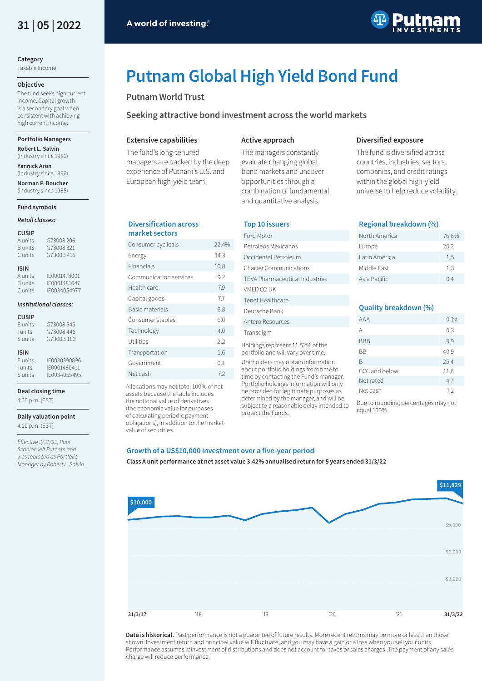

**Category**

Taxable Income

# **Objective**

The fund seeks high current income. Capital growth is a secondary goal when consistent with achieving high current income.

#### **Portfolio Managers**

**Robert L. Salvin** (industry since 1986)

**Yannick Aron** (industry since 1996)

**Norman P. Boucher** (industry since 1985)

# **Fund symbols**

# *Retail classes:*

#### **CUSIP**

A units G73008 206 B units G73008 321 C units G7300B 415

# **ISIN**

A units IE0001478001 B units IE0001481047 C units IE0034054977

# *Institutional classes:*

#### **CUSIP**

| F units | G73008545 |
|---------|-----------|
| I units | G73008446 |
| S units | G7300B183 |

# **ISIN**

E units IE0030390896<br>I units IE0001480411 I units IE0001480411<br>Sunits IE0034055495 S units IE0034055495

#### **Deal closing time**

4:00 p.m. (EST)

**Daily valuation point** 4:00 p.m. (EST)

*E*ffective 3/31/22, Paul Scanlon left Putnam and was replaced as Portfolio Manager by Robert L. Salvin.



**Diversified exposure** The fund is diversified across countries, industries, sectors, companies, and credit ratings within the global high-yield universe to help reduce volatility.

**Regional breakdown (%)** 

# **Putnam Global High Yield Bond Fund**

# **Putnam World Trust**

**Seeking attractive bond investment across the world markets** 

# **Extensive capabilities**

**Diversification across market sectors**

value of securities.

The fund's long-tenured managers are backed by the deep experience of Putnam's U.S. and European high-yield team.

Consumer cyclicals 22.4% Energy 14.3 Financials 10.8 Communication services 9.2 Health care 7.9 Capital goods 7.7 Basic materials 6.8 Consumer staples 6.0 Technology 4.0 Utilities 2.2 Transportation 1.6 Government 0.1 Net cash 7.2 Allocations may not total 100% of net assets because the table includes the notional value of derivatives (the economic value for purposes of calculating periodic payment obligations), in addition to the market

#### **Active approach**

The managers constantly evaluate changing global bond markets and uncover opportunities through a combination of fundamental and quantitative analysis.

# **Top 10 issuers**

#### North America 76.6% Europe 20.2 Latin America 1.5 Middle East 1.3 Asia Pacific 0.4 **Quality breakdown (%)**  Ford Motor Petroleos Mexicanos Occidental Petroleum Charter Communications TEVA Pharmaceutical Industries VMED O2 UK Tenet Healthcare Deutsche Bank Antero Resources

Transdigm Holdings represent 11.52% of the portfolio and will vary over time.

Unitholders may obtain information about portfolio holdings from time to time by contacting the Fund's manager. Portfolio holdings information will only be provided for legitimate purposes as determined by the manager, and will be subject to a reasonable delay intended to protect the Funds.

# AAA 0.1%  $A$  0.3 BBB 9.9 BB 40.9

| БB            | 40.9 |
|---------------|------|
| B             | 25.4 |
| CCC and below | 11.6 |
| Not rated     | 47   |
| Net cash      | 72   |

Due to rounding, percentages may not equal 100%.

# **Growth of a US\$10,000 investment over a five-year period**

**Class A unit performance at net asset value 3.42% annualised return for 5 years ended 31/3/22**



Data is historical. Past performance is not a guarantee of future results. More recent returns may be more or less than those shown. Investment return and principal value will fluctuate, and you may have a gain or a loss when you sell your units. Performance assumes reinvestment of distributions and does not account for taxes or sales charges. The payment of any sales charge will reduce performance.